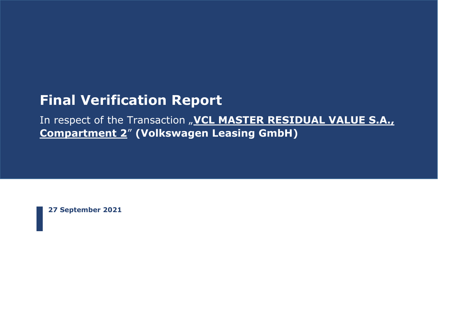# **Final Verification Report**

In respect of the Transaction "VCL MASTER RESIDUAL VALUE S.A., **Compartment 2**" **(Volkswagen Leasing GmbH)**

**27 September 2021**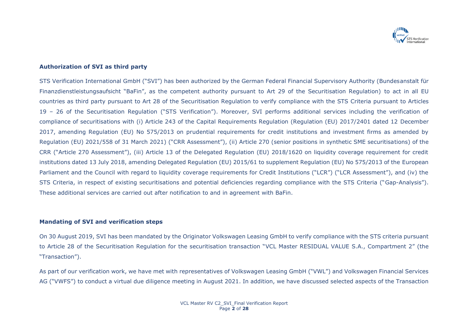

## **Authorization of SVI as third party**

STS Verification International GmbH ("SVI") has been authorized by the German Federal Financial Supervisory Authority (Bundesanstalt für Finanzdienstleistungsaufsicht "BaFin", as the competent authority pursuant to Art 29 of the Securitisation Regulation) to act in all EU countries as third party pursuant to Art 28 of the Securitisation Regulation to verify compliance with the STS Criteria pursuant to Articles 19 – 26 of the Securitisation Regulation ("STS Verification"). Moreover, SVI performs additional services including the verification of compliance of securitisations with (i) Article 243 of the Capital Requirements Regulation (Regulation (EU) 2017/2401 dated 12 December 2017, amending Regulation (EU) No 575/2013 on prudential requirements for credit institutions and investment firms as amended by Regulation (EU) 2021/558 of 31 March 2021) ("CRR Assessment"), (ii) Article 270 (senior positions in synthetic SME securitisations) of the CRR ("Article 270 Assessment"), (iii) Article 13 of the Delegated Regulation (EU) 2018/1620 on liquidity coverage requirement for credit institutions dated 13 July 2018, amending Delegated Regulation (EU) 2015/61 to supplement Regulation (EU) No 575/2013 of the European Parliament and the Council with regard to liquidity coverage requirements for Credit Institutions ("LCR") ("LCR Assessment"), and (iv) the STS Criteria, in respect of existing securitisations and potential deficiencies regarding compliance with the STS Criteria ("Gap-Analysis"). These additional services are carried out after notification to and in agreement with BaFin.

#### **Mandating of SVI and verification steps**

On 30 August 2019, SVI has been mandated by the Originator Volkswagen Leasing GmbH to verify compliance with the STS criteria pursuant to Article 28 of the Securitisation Regulation for the securitisation transaction "VCL Master RESIDUAL VALUE S.A., Compartment 2" (the "Transaction").

As part of our verification work, we have met with representatives of Volkswagen Leasing GmbH ("VWL") and Volkswagen Financial Services AG ("VWFS") to conduct a virtual due diligence meeting in August 2021. In addition, we have discussed selected aspects of the Transaction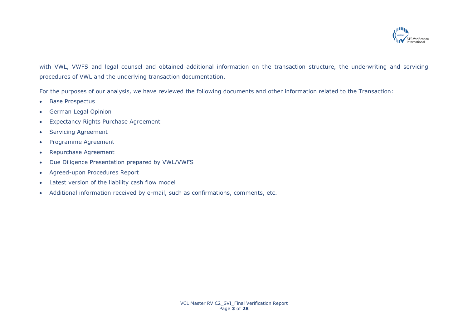

with VWL, VWFS and legal counsel and obtained additional information on the transaction structure, the underwriting and servicing procedures of VWL and the underlying transaction documentation.

For the purposes of our analysis, we have reviewed the following documents and other information related to the Transaction:

- Base Prospectus
- German Legal Opinion
- Expectancy Rights Purchase Agreement
- Servicing Agreement
- Programme Agreement
- Repurchase Agreement
- Due Diligence Presentation prepared by VWL/VWFS
- Agreed-upon Procedures Report
- Latest version of the liability cash flow model
- Additional information received by e-mail, such as confirmations, comments, etc.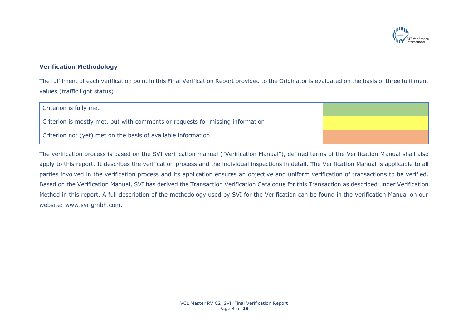

# **Verification Methodology**

The fulfilment of each verification point in this Final Verification Report provided to the Originator is evaluated on the basis of three fulfilment values (traffic light status):

| Criterion is fully met                                                         |  |
|--------------------------------------------------------------------------------|--|
| Criterion is mostly met, but with comments or requests for missing information |  |
| Criterion not (yet) met on the basis of available information                  |  |

The verification process is based on the SVI verification manual ("Verification Manual"), defined terms of the Verification Manual shall also apply to this report. It describes the verification process and the individual inspections in detail. The Verification Manual is applicable to all parties involved in the verification process and its application ensures an objective and uniform verification of transactions to be verified. Based on the Verification Manual, SVI has derived the Transaction Verification Catalogue for this Transaction as described under Verification Method in this report. A full description of the methodology used by SVI for the Verification can be found in the Verification Manual on our website: www.svi-gmbh.com.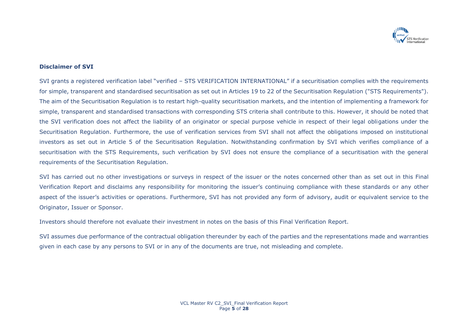

### **Disclaimer of SVI**

SVI grants a registered verification label "verified – STS VERIFICATION INTERNATIONAL" if a securitisation complies with the requirements for simple, transparent and standardised securitisation as set out in Articles 19 to 22 of the Securitisation Regulation ("STS Requirements"). The aim of the Securitisation Regulation is to restart high-quality securitisation markets, and the intention of implementing a framework for simple, transparent and standardised transactions with corresponding STS criteria shall contribute to this. However, it should be noted that the SVI verification does not affect the liability of an originator or special purpose vehicle in respect of their legal obligations under the Securitisation Regulation. Furthermore, the use of verification services from SVI shall not affect the obligations imposed on institutional investors as set out in Article 5 of the Securitisation Regulation. Notwithstanding confirmation by SVI which verifies compliance of a securitisation with the STS Requirements, such verification by SVI does not ensure the compliance of a securitisation with the general requirements of the Securitisation Regulation.

SVI has carried out no other investigations or surveys in respect of the issuer or the notes concerned other than as set out in this Final Verification Report and disclaims any responsibility for monitoring the issuer's continuing compliance with these standards or any other aspect of the issuer's activities or operations. Furthermore, SVI has not provided any form of advisory, audit or equivalent service to the Originator, Issuer or Sponsor.

Investors should therefore not evaluate their investment in notes on the basis of this Final Verification Report.

SVI assumes due performance of the contractual obligation thereunder by each of the parties and the representations made and warranties given in each case by any persons to SVI or in any of the documents are true, not misleading and complete.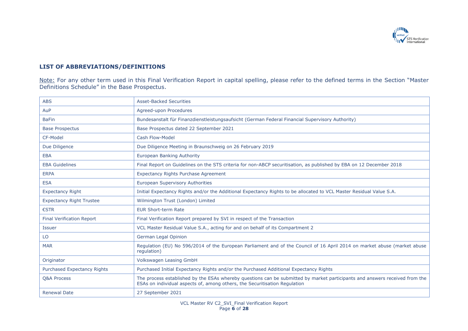

# **LIST OF ABBREVIATIONS/DEFINITIONS**

Note: For any other term used in this Final Verification Report in capital spelling, please refer to the defined terms in the Section "Master Definitions Schedule" in the Base Prospectus.

| <b>ABS</b>                       | <b>Asset-Backed Securities</b>                                                                                                                                                                            |
|----------------------------------|-----------------------------------------------------------------------------------------------------------------------------------------------------------------------------------------------------------|
| AuP                              | Agreed-upon Procedures                                                                                                                                                                                    |
| <b>BaFin</b>                     | Bundesanstalt für Finanzdienstleistungsaufsicht (German Federal Financial Supervisory Authority)                                                                                                          |
| <b>Base Prospectus</b>           | Base Prospectus dated 22 September 2021                                                                                                                                                                   |
| CF-Model                         | Cash Flow-Model                                                                                                                                                                                           |
| Due Diligence                    | Due Diligence Meeting in Braunschweig on 26 February 2019                                                                                                                                                 |
| <b>EBA</b>                       | <b>European Banking Authority</b>                                                                                                                                                                         |
| <b>EBA Guidelines</b>            | Final Report on Guidelines on the STS criteria for non-ABCP securitisation, as published by EBA on 12 December 2018                                                                                       |
| <b>ERPA</b>                      | <b>Expectancy Rights Purchase Agreement</b>                                                                                                                                                               |
| <b>ESA</b>                       | <b>European Supervisory Authorities</b>                                                                                                                                                                   |
| <b>Expectancy Right</b>          | Initial Expectancy Rights and/or the Additional Expectancy Rights to be allocated to VCL Master Residual Value S.A.                                                                                       |
| <b>Expectancy Right Trustee</b>  | Wilmington Trust (London) Limited                                                                                                                                                                         |
| €STR                             | <b>EUR Short-term Rate</b>                                                                                                                                                                                |
| <b>Final Verification Report</b> | Final Verification Report prepared by SVI in respect of the Transaction                                                                                                                                   |
| <b>Issuer</b>                    | VCL Master Residual Value S.A., acting for and on behalf of its Compartment 2                                                                                                                             |
| LO                               | German Legal Opinion                                                                                                                                                                                      |
| <b>MAR</b>                       | Regulation (EU) No 596/2014 of the European Parliament and of the Council of 16 April 2014 on market abuse (market abuse<br>requlation)                                                                   |
| Originator                       | Volkswagen Leasing GmbH                                                                                                                                                                                   |
| Purchased Expectancy Rights      | Purchased Initial Expectancy Rights and/or the Purchased Additional Expectancy Rights                                                                                                                     |
| <b>Q&amp;A Process</b>           | The process established by the ESAs whereby questions can be submitted by market participants and answers received from the<br>ESAs on individual aspects of, among others, the Securitisation Regulation |
| <b>Renewal Date</b>              | 27 September 2021                                                                                                                                                                                         |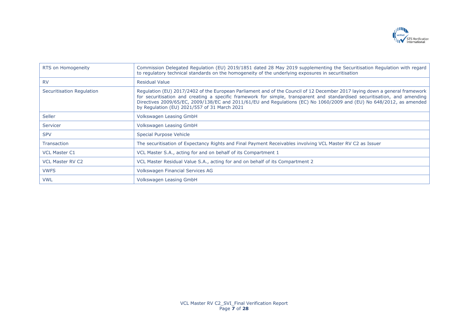

| RTS on Homogeneity        | Commission Delegated Regulation (EU) 2019/1851 dated 28 May 2019 supplementing the Securitisation Regulation with regard<br>to regulatory technical standards on the homogeneity of the underlying exposures in securitisation                                                                                                                                                                                                    |
|---------------------------|-----------------------------------------------------------------------------------------------------------------------------------------------------------------------------------------------------------------------------------------------------------------------------------------------------------------------------------------------------------------------------------------------------------------------------------|
| <b>RV</b>                 | <b>Residual Value</b>                                                                                                                                                                                                                                                                                                                                                                                                             |
| Securitisation Regulation | Regulation (EU) 2017/2402 of the European Parliament and of the Council of 12 December 2017 laying down a general framework<br>for securitisation and creating a specific framework for simple, transparent and standardised securitisation, and amending<br>Directives 2009/65/EC, 2009/138/EC and 2011/61/EU and Regulations (EC) No 1060/2009 and (EU) No 648/2012, as amended<br>by Regulation (EU) 2021/557 of 31 March 2021 |
| <b>Seller</b>             | Volkswagen Leasing GmbH                                                                                                                                                                                                                                                                                                                                                                                                           |
| Servicer                  | Volkswagen Leasing GmbH                                                                                                                                                                                                                                                                                                                                                                                                           |
| <b>SPV</b>                | Special Purpose Vehicle                                                                                                                                                                                                                                                                                                                                                                                                           |
| <b>Transaction</b>        | The securitisation of Expectancy Rights and Final Payment Receivables involving VCL Master RV C2 as Issuer                                                                                                                                                                                                                                                                                                                        |
| <b>VCL Master C1</b>      | VCL Master S.A., acting for and on behalf of its Compartment 1                                                                                                                                                                                                                                                                                                                                                                    |
| <b>VCL Master RV C2</b>   | VCL Master Residual Value S.A., acting for and on behalf of its Compartment 2                                                                                                                                                                                                                                                                                                                                                     |
| <b>VWFS</b>               | Volkswagen Financial Services AG                                                                                                                                                                                                                                                                                                                                                                                                  |
| <b>VWL</b>                | Volkswagen Leasing GmbH                                                                                                                                                                                                                                                                                                                                                                                                           |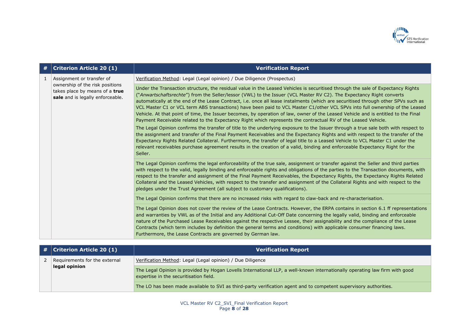

| #  | <b>Criterion Article 20 (1)</b>                                                                                                    | <b>Verification Report</b>                                                                                                                                                                                                                                                                                                                                                                                                                                                                                                                                                                                                                                                                                                                                                                                                                                                                                                                                                                                                                                 |
|----|------------------------------------------------------------------------------------------------------------------------------------|------------------------------------------------------------------------------------------------------------------------------------------------------------------------------------------------------------------------------------------------------------------------------------------------------------------------------------------------------------------------------------------------------------------------------------------------------------------------------------------------------------------------------------------------------------------------------------------------------------------------------------------------------------------------------------------------------------------------------------------------------------------------------------------------------------------------------------------------------------------------------------------------------------------------------------------------------------------------------------------------------------------------------------------------------------|
| -1 | Assignment or transfer of<br>ownership of the risk positions<br>takes place by means of a true<br>sale and is legally enforceable. | Verification Method: Legal (Legal opinion) / Due Diligence (Prospectus)                                                                                                                                                                                                                                                                                                                                                                                                                                                                                                                                                                                                                                                                                                                                                                                                                                                                                                                                                                                    |
|    |                                                                                                                                    | Under the Transaction structure, the residual value in the Leased Vehicles is securitised through the sale of Expectancy Rights<br>("Anwartschaftsrechte") from the Seller/lessor (VWL) to the Issuer (VCL Master RV C2). The Expectancy Right converts<br>automatically at the end of the Lease Contract, i.e. once all lease instalments (which are securitised through other SPVs such as<br>VCL Master C1 or VCL term ABS transactions) have been paid to VCL Master C1/other VCL SPVs into full ownership of the Leased<br>Vehicle. At that point of time, the Issuer becomes, by operation of law, owner of the Leased Vehicle and is entitled to the Final<br>Payment Receivable related to the Expectancy Right which represents the contractual RV of the Leased Vehicle.<br>The Legal Opinion confirms the transfer of title to the underlying exposure to the Issuer through a true sale both with respect to<br>the assignment and transfer of the Final Payment Receivables and the Expectancy Rights and with respect to the transfer of the |
|    |                                                                                                                                    | Expectancy Rights Related Collateral. Furthermore, the transfer of legal title to a Leased Vehicle to VCL Master C1 under the<br>relevant receivables purchase agreement results in the creation of a valid, binding and enforceable Expectancy Right for the<br>Seller.                                                                                                                                                                                                                                                                                                                                                                                                                                                                                                                                                                                                                                                                                                                                                                                   |
|    |                                                                                                                                    | The Legal Opinion confirms the legal enforceability of the true sale, assignment or transfer against the Seller and third parties<br>with respect to the valid, legally binding and enforceable rights and obligations of the parties to the Transaction documents, with<br>respect to the transfer and assignment of the Final Payment Receivables, the Expectancy Rights, the Expectancy Rights Related<br>Collateral and the Leased Vehicles, with respect to the transfer and assignment of the Collateral Rights and with respect to the<br>pledges under the Trust Agreement (all subject to customary qualifications).                                                                                                                                                                                                                                                                                                                                                                                                                              |
|    |                                                                                                                                    | The Legal Opinion confirms that there are no increased risks with regard to claw-back and re-characterisation.                                                                                                                                                                                                                                                                                                                                                                                                                                                                                                                                                                                                                                                                                                                                                                                                                                                                                                                                             |
|    |                                                                                                                                    | The Legal Opinion does not cover the review of the Lease Contracts. However, the ERPA contains in section 6.1 ff representations<br>and warranties by VWL as of the Initial and any Additional Cut-Off Date concerning the legally valid, binding and enforceable<br>nature of the Purchased Lease Receivables against the respective Lessee, their assignability and the compliance of the Lease<br>Contracts (which term includes by definition the general terms and conditions) with applicable consumer financing laws.<br>Furthermore, the Lease Contracts are governed by German law.                                                                                                                                                                                                                                                                                                                                                                                                                                                               |

|  | $\mid$ # $\mid$ Criterion Article 20 (1) | <b>Verification Report</b>                                                                                                                                            |
|--|------------------------------------------|-----------------------------------------------------------------------------------------------------------------------------------------------------------------------|
|  | Requirements for the external            | Verification Method: Legal (Legal opinion) / Due Diligence                                                                                                            |
|  | legal opinion                            | The Legal Opinion is provided by Hogan Lovells International LLP, a well-known internationally operating law firm with good<br>expertise in the securitisation field. |
|  |                                          | The LO has been made available to SVI as third-party verification agent and to competent supervisory authorities.                                                     |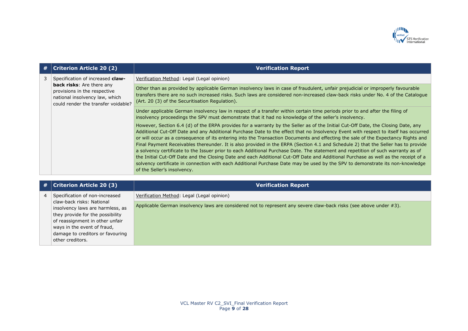

|  | #   Criterion Article 20 (2)                                                                                                              | <b>Verification Report</b>                                                                                                                                                                                                                                                                                                                                                                                                                                                                                                                                                                                                                                                                                                                                                                                                                                                                                                                                                                  |
|--|-------------------------------------------------------------------------------------------------------------------------------------------|---------------------------------------------------------------------------------------------------------------------------------------------------------------------------------------------------------------------------------------------------------------------------------------------------------------------------------------------------------------------------------------------------------------------------------------------------------------------------------------------------------------------------------------------------------------------------------------------------------------------------------------------------------------------------------------------------------------------------------------------------------------------------------------------------------------------------------------------------------------------------------------------------------------------------------------------------------------------------------------------|
|  | Specification of increased claw-                                                                                                          | Verification Method: Legal (Legal opinion)                                                                                                                                                                                                                                                                                                                                                                                                                                                                                                                                                                                                                                                                                                                                                                                                                                                                                                                                                  |
|  | <b>back risks:</b> Are there any<br>provisions in the respective<br>national insolvency law, which<br>could render the transfer voidable? | Other than as provided by applicable German insolvency laws in case of fraudulent, unfair prejudicial or improperly favourable<br>transfers there are no such increased risks. Such laws are considered non-increased claw-back risks under No. 4 of the Catalogue<br>(Art. 20 (3) of the Securitisation Regulation).                                                                                                                                                                                                                                                                                                                                                                                                                                                                                                                                                                                                                                                                       |
|  |                                                                                                                                           | Under applicable German insolvency law in respect of a transfer within certain time periods prior to and after the filing of<br>insolvency proceedings the SPV must demonstrate that it had no knowledge of the seller's insolvency.                                                                                                                                                                                                                                                                                                                                                                                                                                                                                                                                                                                                                                                                                                                                                        |
|  |                                                                                                                                           | However, Section 6.4 (d) of the ERPA provides for a warranty by the Seller as of the Initial Cut-Off Date, the Closing Date, any<br>Additional Cut-Off Date and any Additional Purchase Date to the effect that no Insolvency Event with respect to itself has occurred<br>or will occur as a consequence of its entering into the Transaction Documents and effecting the sale of the Expectancy Rights and<br>Final Payment Receivables thereunder. It is also provided in the ERPA (Section 4.1 and Schedule 2) that the Seller has to provide<br>a solvency certificate to the Issuer prior to each Additional Purchase Date. The statement and repetition of such warranty as of<br>the Initial Cut-Off Date and the Closing Date and each Additional Cut-Off Date and Additional Purchase as well as the receipt of a<br>solvency certificate in connection with each Additional Purchase Date may be used by the SPV to demonstrate its non-knowledge<br>of the Seller's insolvency. |

|                | $\#$ Criterion Article 20 (3)                                                                                                                                                                                               | <b>Verification Report</b>                                                                                         |
|----------------|-----------------------------------------------------------------------------------------------------------------------------------------------------------------------------------------------------------------------------|--------------------------------------------------------------------------------------------------------------------|
| $\overline{4}$ | Specification of non-increased                                                                                                                                                                                              | Verification Method: Legal (Legal opinion)                                                                         |
|                | claw-back risks: National<br>insolvency laws are harmless, as<br>they provide for the possibility<br>of reassignment in other unfair<br>ways in the event of fraud,<br>damage to creditors or favouring<br>other creditors. | Applicable German insolvency laws are considered not to represent any severe claw-back risks (see above under #3). |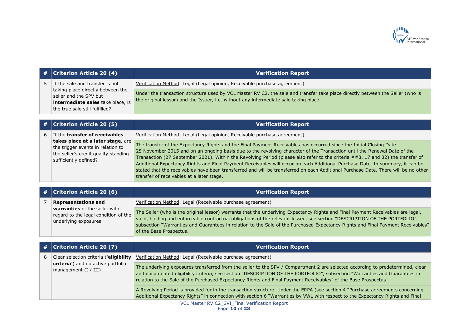

| # | <b>Criterion Article 20 (4)</b>                                                                                                                                       | <b>Verification Report</b>                                                                                                                                                                                                                                                                                                                                                                                                                                                                                                                                                                                                                                                                             |
|---|-----------------------------------------------------------------------------------------------------------------------------------------------------------------------|--------------------------------------------------------------------------------------------------------------------------------------------------------------------------------------------------------------------------------------------------------------------------------------------------------------------------------------------------------------------------------------------------------------------------------------------------------------------------------------------------------------------------------------------------------------------------------------------------------------------------------------------------------------------------------------------------------|
| 5 | If the sale and transfer is not<br>taking place directly between the<br>seller and the SPV but<br>intermediate sales take place, is<br>the true sale still fulfilled? | Verification Method: Legal (Legal opinion, Receivable purchase agreement)                                                                                                                                                                                                                                                                                                                                                                                                                                                                                                                                                                                                                              |
|   |                                                                                                                                                                       | Under the transaction structure used by VCL Master RV C2, the sale and transfer take place directly between the Seller (who is<br>the original lessor) and the Issuer, i.e. without any intermediate sale taking place.                                                                                                                                                                                                                                                                                                                                                                                                                                                                                |
|   |                                                                                                                                                                       |                                                                                                                                                                                                                                                                                                                                                                                                                                                                                                                                                                                                                                                                                                        |
| # | <b>Criterion Article 20 (5)</b>                                                                                                                                       | <b>Verification Report</b>                                                                                                                                                                                                                                                                                                                                                                                                                                                                                                                                                                                                                                                                             |
| 6 | If the transfer of receivables                                                                                                                                        | Verification Method: Legal (Legal opinion, Receivable purchase agreement)                                                                                                                                                                                                                                                                                                                                                                                                                                                                                                                                                                                                                              |
|   | takes place at a later stage, are<br>the trigger events in relation to<br>the seller's credit quality standing<br>sufficiently defined?                               | The transfer of the Expectancy Rights and the Final Payment Receivables has occurred since the Initial Closing Date<br>25 November 2015 and on an ongoing basis due to the revolving character of the Transaction until the Renewal Date of the<br>Transaction (27 September 2021). Within the Revolving Period (please also refer to the criteria ##8, 17 and 32) the transfer of<br>Additional Expectancy Rights and Final Payment Receivables will occur on each Additional Purchase Date. In summary, it can be<br>stated that the receivables have been transferred and will be transferred on each Additional Purchase Date. There will be no other<br>transfer of receivables at a later stage. |
|   |                                                                                                                                                                       |                                                                                                                                                                                                                                                                                                                                                                                                                                                                                                                                                                                                                                                                                                        |
| # | <b>Criterion Article 20 (6)</b>                                                                                                                                       | <b>Verification Report</b>                                                                                                                                                                                                                                                                                                                                                                                                                                                                                                                                                                                                                                                                             |
| 7 | <b>Representations and</b>                                                                                                                                            | Verification Method: Legal (Receivable purchase agreement)                                                                                                                                                                                                                                                                                                                                                                                                                                                                                                                                                                                                                                             |
|   | warranties of the seller with<br>regard to the legal condition of the<br>underlying exposures                                                                         | The Seller (who is the original lessor) warrants that the underlying Expectancy Rights and Final Payment Receivables are legal,<br>valid, binding and enforceable contractual obligations of the relevant lessee, see section "DESCRIPTION OF THE PORTFOLIO",<br>subsection "Warranties and Guarantees in relation to the Sale of the Purchased Expectancy Rights and Final Payment Receivables"<br>of the Base Prospectus.                                                                                                                                                                                                                                                                            |
|   |                                                                                                                                                                       |                                                                                                                                                                                                                                                                                                                                                                                                                                                                                                                                                                                                                                                                                                        |
|   |                                                                                                                                                                       |                                                                                                                                                                                                                                                                                                                                                                                                                                                                                                                                                                                                                                                                                                        |
| # | <b>Criterion Article 20 (7)</b>                                                                                                                                       | <b>Verification Report</b>                                                                                                                                                                                                                                                                                                                                                                                                                                                                                                                                                                                                                                                                             |
| 8 | Clear selection criteria ('eligibility                                                                                                                                | Verification Method: Legal (Receivable purchase agreement)                                                                                                                                                                                                                                                                                                                                                                                                                                                                                                                                                                                                                                             |
|   | criteria') and no active portfolio<br>management (I / III)                                                                                                            | The underlying exposures transferred from the seller to the SPV / Compartment 2 are selected according to predetermined, clear<br>and documented eligibility criteria, see section "DESCRIPTION OF THE PORTFOLIO", subsection "Warranties and Guarantees in<br>relation to the Sale of the Purchased Expectancy Rights and Final Payment Receivables" of the Base Prospectus.                                                                                                                                                                                                                                                                                                                          |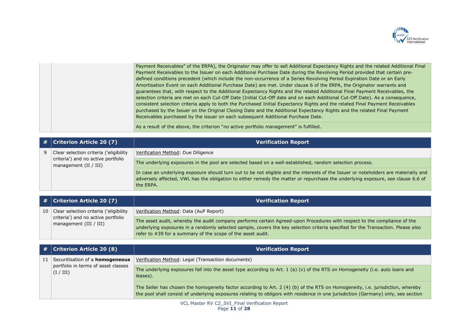

| Payment Receivables" of the ERPA), the Originator may offer to sell Additional Expectancy Rights and the related Additional Final |
|-----------------------------------------------------------------------------------------------------------------------------------|
| Payment Receivables to the Issuer on each Additional Purchase Date during the Revolving Period provided that certain pre-         |
| defined conditions precedent (which include the non-occurrence of a Series Revolving Period Expiration Date or an Early           |
| Amortisation Event on each Additional Purchase Date) are met. Under clause 6 of the ERPA, the Originator warrants and             |
| guarantees that, with respect to the Additional Expectancy Rights and the related Additional Final Payment Receivables, the       |
| selection criteria are met on each Cut-Off Date (Initial Cut-Off date and on each Additional Cut-Off Date). As a consequence,     |
| consistent selection criteria apply to both the Purchased Initial Expectancy Rights and the related Final Payment Receivables     |
| purchased by the Issuer on the Original Closing Date and the Additional Expectancy Rights and the related Final Payment           |
| Receivables purchased by the issuer on each subsequent Additional Purchase Date.                                                  |
|                                                                                                                                   |
| As a result of the above, the criterion "no active portfolio management" is fulfilled.                                            |

| #  | <b>Criterion Article 20 (7)</b>                                                            | <b>Verification Report</b>                                                                                                                                                                                                                                                                                                  |
|----|--------------------------------------------------------------------------------------------|-----------------------------------------------------------------------------------------------------------------------------------------------------------------------------------------------------------------------------------------------------------------------------------------------------------------------------|
| 9  | Clear selection criteria ('eligibility                                                     | Verification Method: Due Diligence                                                                                                                                                                                                                                                                                          |
|    | criteria') and no active portfolio<br>management (II / III)                                | The underlying exposures in the pool are selected based on a well-established, random selection process.                                                                                                                                                                                                                    |
|    |                                                                                            | In case an underlying exposure should turn out to be not eligible and the interests of the Issuer or noteholders are materially and<br>adversely affected, VWL has the obligation to either remedy the matter or repurchase the underlying exposure, see clause 6.6 of<br>the ERPA.                                         |
|    |                                                                                            |                                                                                                                                                                                                                                                                                                                             |
| #  | <b>Criterion Article 20 (7)</b>                                                            | <b>Verification Report</b>                                                                                                                                                                                                                                                                                                  |
| 10 | Clear selection criteria ('eligibility                                                     | Verification Method: Data (AuP Report)                                                                                                                                                                                                                                                                                      |
|    | criteria') and no active portfolio<br>management $(III / III)$                             | The asset audit, whereby the audit company performs certain Agreed-upon Procedures with respect to the compliance of the<br>underlying exposures in a randomly selected sample, covers the key selection criteria specified for the Transaction. Please also<br>refer to #39 for a summary of the scope of the asset audit. |
|    |                                                                                            |                                                                                                                                                                                                                                                                                                                             |
| #  | <b>Criterion Article 20 (8)</b>                                                            | <b>Verification Report</b>                                                                                                                                                                                                                                                                                                  |
| 11 | Securitisation of a <b>homogeneous</b><br>portfolio in terms of asset classes<br>(I / III) | Verification Method: Legal (Transaction documents)                                                                                                                                                                                                                                                                          |
|    |                                                                                            | The underlying exposures fall into the asset type according to Art. 1 (a) (v) of the RTS on Homogeneity (i.e. auto loans and<br>leases).                                                                                                                                                                                    |

The Seller has chosen the homogeneity factor according to Art. 2 (4) (b) of the RTS on Homogeneity, i.e. jurisdiction, whereby the pool shall consist of underlying exposures relating to obligors with residence in one jurisdiction (Germany) only, see section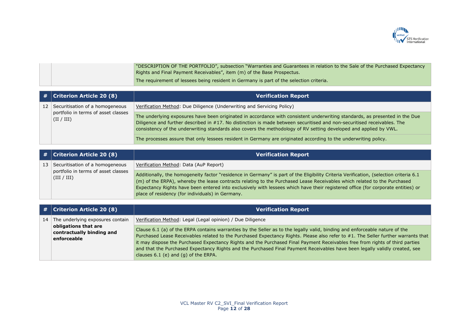

| NESCRIPTION OF THE PORTFOLIO", subsection "Warranties and Guarantees in relation to the Sale of the Purchased Expectancy " |
|----------------------------------------------------------------------------------------------------------------------------|
| Rights and Final Payment Receivables", item (m) of the Base Prospectus.                                                    |
| The requirement of lessees being resident in Germany is part of the selection criteria.                                    |

|    | $\#$   Criterion Article 20 (8)                                                      | <b>Verification Report</b>                                                                                                                                                                                                                                                                                                                                                  |
|----|--------------------------------------------------------------------------------------|-----------------------------------------------------------------------------------------------------------------------------------------------------------------------------------------------------------------------------------------------------------------------------------------------------------------------------------------------------------------------------|
| 12 | Securitisation of a homogeneous<br>portfolio in terms of asset classes<br>(II / III) | Verification Method: Due Diligence (Underwriting and Servicing Policy)                                                                                                                                                                                                                                                                                                      |
|    |                                                                                      | The underlying exposures have been originated in accordance with consistent underwriting standards, as presented in the Due<br>Diligence and further described in #17. No distinction is made between securitised and non-securitised receivables. The<br>consistency of the underwriting standards also covers the methodology of RV setting developed and applied by VWL. |
|    |                                                                                      | The processes assure that only lessees resident in Germany are originated according to the underwriting policy.                                                                                                                                                                                                                                                             |

|  | $\#$ Criterion Article 20 (8)                                                            | <b>Verification Report</b>                                                                                                                                                                                                                                                                                                                                                                                                                                |
|--|------------------------------------------------------------------------------------------|-----------------------------------------------------------------------------------------------------------------------------------------------------------------------------------------------------------------------------------------------------------------------------------------------------------------------------------------------------------------------------------------------------------------------------------------------------------|
|  | 13 Securitisation of a homogeneous<br>portfolio in terms of asset classes<br>(III / III) | Verification Method: Data (AuP Report)                                                                                                                                                                                                                                                                                                                                                                                                                    |
|  |                                                                                          | Additionally, the homogeneity factor "residence in Germany" is part of the Eligibility Criteria Verification, (selection criteria 6.1<br>(m) of the ERPA), whereby the lease contracts relating to the Purchased Lease Receivables which related to the Purchased<br>Expectancy Rights have been entered into exclusively with lessees which have their registered office (for corporate entities) or<br>place of residency (for individuals) in Germany. |

|    | $\#$ Criterion Article 20 (8)                                    | <b>Verification Report</b>                                                                                                                                                                                                                                                                                                                                                                                                                                                                                                                                              |
|----|------------------------------------------------------------------|-------------------------------------------------------------------------------------------------------------------------------------------------------------------------------------------------------------------------------------------------------------------------------------------------------------------------------------------------------------------------------------------------------------------------------------------------------------------------------------------------------------------------------------------------------------------------|
| 14 | The underlying exposures contain                                 | Verification Method: Legal (Legal opinion) / Due Diligence                                                                                                                                                                                                                                                                                                                                                                                                                                                                                                              |
|    | obligations that are<br>contractually binding and<br>enforceable | Clause 6.1 (a) of the ERPA contains warranties by the Seller as to the legally valid, binding and enforceable nature of the<br>Purchased Lease Receivables related to the Purchased Expectancy Rights. Please also refer to #1. The Seller further warrants that<br>it may dispose the Purchased Expectancy Rights and the Purchased Final Payment Receivables free from rights of third parties<br>and that the Purchased Expectancy Rights and the Purchased Final Payment Receivables have been legally validly created, see<br>clauses 6.1 (e) and (g) of the ERPA. |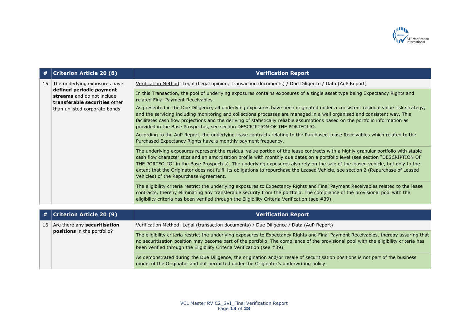

| #  | <b>Criterion Article 20 (8)</b>                                                                                                                           | <b>Verification Report</b>                                                                                                                                                                                                                                                                                                                                                                                                                                                                                                                                                                                                                                                                                                                                                                                                                                                                                                                                                                                                                                                                                                                                                                                                                                   |
|----|-----------------------------------------------------------------------------------------------------------------------------------------------------------|--------------------------------------------------------------------------------------------------------------------------------------------------------------------------------------------------------------------------------------------------------------------------------------------------------------------------------------------------------------------------------------------------------------------------------------------------------------------------------------------------------------------------------------------------------------------------------------------------------------------------------------------------------------------------------------------------------------------------------------------------------------------------------------------------------------------------------------------------------------------------------------------------------------------------------------------------------------------------------------------------------------------------------------------------------------------------------------------------------------------------------------------------------------------------------------------------------------------------------------------------------------|
| 15 | The underlying exposures have<br>defined periodic payment<br>streams and do not include<br>transferable securities other<br>than unlisted corporate bonds | Verification Method: Legal (Legal opinion, Transaction documents) / Due Diligence / Data (AuP Report)                                                                                                                                                                                                                                                                                                                                                                                                                                                                                                                                                                                                                                                                                                                                                                                                                                                                                                                                                                                                                                                                                                                                                        |
|    |                                                                                                                                                           | In this Transaction, the pool of underlying exposures contains exposures of a single asset type being Expectancy Rights and<br>related Final Payment Receivables.<br>As presented in the Due Diligence, all underlying exposures have been originated under a consistent residual value risk strategy,<br>and the servicing including monitoring and collections processes are managed in a well organised and consistent way. This<br>facilitates cash flow projections and the deriving of statistically reliable assumptions based on the portfolio information as<br>provided in the Base Prospectus, see section DESCRIPTION OF THE PORTFOLIO.<br>According to the AuP Report, the underlying lease contracts relating to the Purchased Lease Receivables which related to the<br>Purchased Expectancy Rights have a monthly payment frequency.<br>The underlying exposures represent the residual value portion of the lease contracts with a highly granular portfolio with stable<br>cash flow characteristics and an amortisation profile with monthly due dates on a portfolio level (see section "DESCRIPTION OF<br>THE PORTFOLIO" in the Base Prospectus). The underlying exposures also rely on the sale of the leased vehicle, but only to the |
|    |                                                                                                                                                           | extent that the Originator does not fulfil its obligations to repurchase the Leased Vehicle, see section 2 (Repurchase of Leased<br>Vehicles) of the Repurchase Agreement.                                                                                                                                                                                                                                                                                                                                                                                                                                                                                                                                                                                                                                                                                                                                                                                                                                                                                                                                                                                                                                                                                   |
|    |                                                                                                                                                           | The eligibility criteria restrict the underlying exposures to Expectancy Rights and Final Payment Receivables related to the lease<br>contracts, thereby eliminating any transferable security from the portfolio. The compliance of the provisional pool with the<br>eligibility criteria has been verified through the Eligibility Criteria Verification (see #39).                                                                                                                                                                                                                                                                                                                                                                                                                                                                                                                                                                                                                                                                                                                                                                                                                                                                                        |
|    |                                                                                                                                                           |                                                                                                                                                                                                                                                                                                                                                                                                                                                                                                                                                                                                                                                                                                                                                                                                                                                                                                                                                                                                                                                                                                                                                                                                                                                              |
| #  | <b>Criterion Article 20 (9)</b>                                                                                                                           | <b>Verification Report</b>                                                                                                                                                                                                                                                                                                                                                                                                                                                                                                                                                                                                                                                                                                                                                                                                                                                                                                                                                                                                                                                                                                                                                                                                                                   |
| 16 | Are there any securitisation                                                                                                                              | Verification Method: Legal (transaction documents) / Due Diligence / Data (AuP Report)                                                                                                                                                                                                                                                                                                                                                                                                                                                                                                                                                                                                                                                                                                                                                                                                                                                                                                                                                                                                                                                                                                                                                                       |
|    | <b>positions</b> in the portfolio?                                                                                                                        | The eligibility criteria restrict the underlying exposures to Expectancy Rights and Final Payment Receivables, thereby assuring that                                                                                                                                                                                                                                                                                                                                                                                                                                                                                                                                                                                                                                                                                                                                                                                                                                                                                                                                                                                                                                                                                                                         |

no securitisation position may become part of the portfolio. The compliance of the provisional pool with the eligibility criteria has been verified through the Eligibility Criteria Verification (see #39).

As demonstrated during the Due Diligence, the origination and/or resale of securitisation positions is not part of the business model of the Originator and not permitted under the Originator's underwriting policy.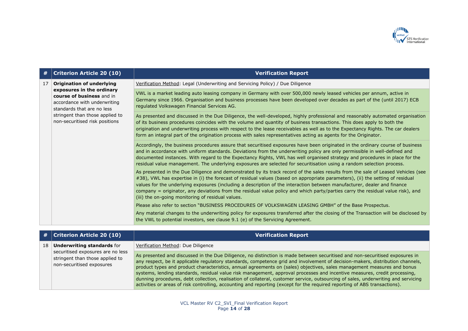

| #  | <b>Criterion Article 20 (10)</b>                                                                                                                                                                                              | <b>Verification Report</b>                                                                                                                                                                                                                                                                                                                                                                                                                                                                                                                                                              |
|----|-------------------------------------------------------------------------------------------------------------------------------------------------------------------------------------------------------------------------------|-----------------------------------------------------------------------------------------------------------------------------------------------------------------------------------------------------------------------------------------------------------------------------------------------------------------------------------------------------------------------------------------------------------------------------------------------------------------------------------------------------------------------------------------------------------------------------------------|
| 17 | <b>Origination of underlying</b><br>exposures in the ordinary<br>course of business and in<br>accordance with underwriting<br>standards that are no less<br>stringent than those applied to<br>non-securitised risk positions | Verification Method: Legal (Underwriting and Servicing Policy) / Due Diligence                                                                                                                                                                                                                                                                                                                                                                                                                                                                                                          |
|    |                                                                                                                                                                                                                               | VWL is a market leading auto leasing company in Germany with over 500,000 newly leased vehicles per annum, active in<br>Germany since 1966. Organisation and business processes have been developed over decades as part of the (until 2017) ECB<br>regulated Volkswagen Financial Services AG.                                                                                                                                                                                                                                                                                         |
|    |                                                                                                                                                                                                                               | As presented and discussed in the Due Diligence, the well-developed, highly professional and reasonably automated organisation<br>of its business procedures coincides with the volume and quantity of business transactions. This does apply to both the<br>origination and underwriting process with respect to the lease receivables as well as to the Expectancy Rights. The car dealers<br>form an integral part of the origination process with sales representatives acting as agents for the Originator.                                                                        |
|    |                                                                                                                                                                                                                               | Accordingly, the business procedures assure that securitised exposures have been originated in the ordinary course of business<br>and in accordance with uniform standards. Deviations from the underwriting policy are only permissible in well-defined and<br>documented instances. With regard to the Expectancy Rights, VWL has well organised strategy and procedures in place for the<br>residual value management. The underlying exposures are selected for securitisation using a random selection process.                                                                    |
|    |                                                                                                                                                                                                                               | As presented in the Due Diligence and demonstrated by its track record of the sales results from the sale of Leased Vehicles (see<br>#38), VWL has expertise in (i) the forecast of residual values (based on appropriate parameters), (ii) the setting of residual<br>values for the underlying exposures (including a description of the interaction between manufacturer, dealer and finance<br>company = originator, any deviations from the residual value policy and which party/parties carry the residual value risk), and<br>(iii) the on-going monitoring of residual values. |
|    |                                                                                                                                                                                                                               | Please also refer to section "BUSINESS PROCEDURES OF VOLKSWAGEN LEASING GMBH" of the Base Prospectus.                                                                                                                                                                                                                                                                                                                                                                                                                                                                                   |
|    |                                                                                                                                                                                                                               | Any material changes to the underwriting policy for exposures transferred after the closing of the Transaction will be disclosed by<br>the VWL to potential investors, see clause 9.1 (e) of the Servicing Agreement.                                                                                                                                                                                                                                                                                                                                                                   |

|                 | $\#$ Criterion Article 20 (10)                                                                                                         | <b>Verification Report</b>                                                                                                                                                                                                                                                                                                                                                                                                                                                                                                                                                                                                                                                                                                                                                                 |
|-----------------|----------------------------------------------------------------------------------------------------------------------------------------|--------------------------------------------------------------------------------------------------------------------------------------------------------------------------------------------------------------------------------------------------------------------------------------------------------------------------------------------------------------------------------------------------------------------------------------------------------------------------------------------------------------------------------------------------------------------------------------------------------------------------------------------------------------------------------------------------------------------------------------------------------------------------------------------|
| 18 <sup>1</sup> | <b>Underwriting standards for</b><br>securitised exposures are no less<br>stringent than those applied to<br>non-securitised exposures | Verification Method: Due Diligence                                                                                                                                                                                                                                                                                                                                                                                                                                                                                                                                                                                                                                                                                                                                                         |
|                 |                                                                                                                                        | As presented and discussed in the Due Diligence, no distinction is made between securitised and non-securitised exposures in<br>any respect, be it applicable regulatory standards, competence grid and involvement of decision-makers, distribution channels,<br>product types and product characteristics, annual agreements on (sales) objectives, sales management measures and bonus<br>systems, lending standards, residual value risk management, approval processes and incentive measures, credit processing,<br>dunning procedures, debt collection, realisation of collateral, customer service, outsourcing of sales, underwriting and servicing<br>activities or areas of risk controlling, accounting and reporting (except for the required reporting of ABS transactions). |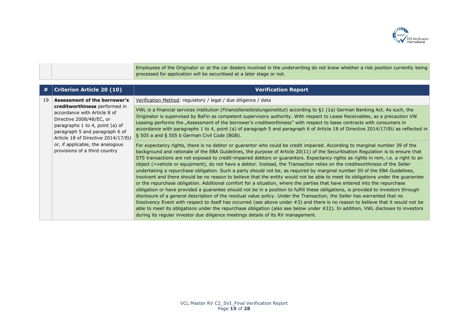

Employees of the Originator or at the car dealers involved in the underwriting do not know whether a risk position currently being processed for application will be securitised at a later stage or not.

| #  | <b>Criterion Article 20 (10)</b>                                                                                                                                                                                                                                                                                 | <b>Verification Report</b>                                                                                                                                                                                                                                                                                                                                                                                                                                                                                                                                                                                                                                                                                                                                                                                                                                                                                                                                                                                                                                                                                                                                                                                                                                                                                                                                                                                                                                                                                                                                       |
|----|------------------------------------------------------------------------------------------------------------------------------------------------------------------------------------------------------------------------------------------------------------------------------------------------------------------|------------------------------------------------------------------------------------------------------------------------------------------------------------------------------------------------------------------------------------------------------------------------------------------------------------------------------------------------------------------------------------------------------------------------------------------------------------------------------------------------------------------------------------------------------------------------------------------------------------------------------------------------------------------------------------------------------------------------------------------------------------------------------------------------------------------------------------------------------------------------------------------------------------------------------------------------------------------------------------------------------------------------------------------------------------------------------------------------------------------------------------------------------------------------------------------------------------------------------------------------------------------------------------------------------------------------------------------------------------------------------------------------------------------------------------------------------------------------------------------------------------------------------------------------------------------|
| 19 | Assessment of the borrower's<br><b>creditworthiness</b> performed in<br>accordance with Article 8 of<br>Directive 2008/48/EC, or<br>paragraphs 1 to 4, point (a) of<br>paragraph 5 and paragraph 6 of<br>Article 18 of Directive 2014/17/EU<br>or, if applicable, the analogous<br>provisions of a third country | Verification Method: regulatory / legal / due diligence / data                                                                                                                                                                                                                                                                                                                                                                                                                                                                                                                                                                                                                                                                                                                                                                                                                                                                                                                                                                                                                                                                                                                                                                                                                                                                                                                                                                                                                                                                                                   |
|    |                                                                                                                                                                                                                                                                                                                  | VWL is a financial services institution ( <i>Finanzdienstleistungsinstitut</i> ) according to §1 (1a) German Banking Act. As such, the<br>Originator is supervised by BaFin as competent supervisory authority. With respect to Lease Receivables, as a precaution VW<br>Leasing performs the "Assessment of the borrower's creditworthiness" with respect to lease contracts with consumers in<br>accordance with paragraphs 1 to 4, point (a) of paragraph 5 and paragraph 6 of Article 18 of Directive 2014/17/EU as reflected in<br>§ 505 a and § 505 b German Civil Code (BGB).                                                                                                                                                                                                                                                                                                                                                                                                                                                                                                                                                                                                                                                                                                                                                                                                                                                                                                                                                                             |
|    |                                                                                                                                                                                                                                                                                                                  | For expectancy rights, there is no debtor or guarantor who could be credit impaired. According to marginal number 39 of the<br>background and rationale of the EBA Guidelines, the purpose of Article 20(11) of the Securitisation Regulation is to ensure that<br>STS transactions are not exposed to credit-impaired debtors or guarantors. Expectancy rights as rights in rem, i.e. a right to an<br>object (=vehicle or equipment), do not have a debtor. Instead, the Transaction relies on the creditworthiness of the Seller<br>undertaking a repurchase obligation. Such a party should not be, as required by marginal number 50 of the EBA Guidelines,<br>insolvent and there should be no reason to believe that the entity would not be able to meet its obligations under the quarantee<br>or the repurchase obligation. Additional comfort for a situation, where the parties that have entered into the repurchase<br>obligation or have provided a quarantee should not be in a position to fulfill these obligations, is provided to investors through<br>disclosure of a general description of the residual value policy. Under the Transaction, the Seller has warranted that no<br>Insolvency Event with respect to itself has occurred (see above under #3) and there is no reason to believe that it would not be<br>able to meet its obligations under the repurchase obligation (also see below under #22). In addition, VWL discloses to investors<br>during its regular investor due diligence meetings details of its RV management. |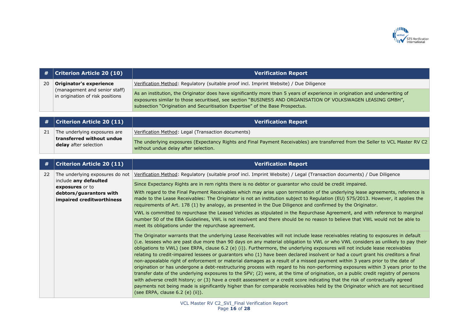

| #  | <b>Criterion Article 20 (10)</b>                                                             | <b>Verification Report</b>                                                                                                                                                                                                                                                                                                   |
|----|----------------------------------------------------------------------------------------------|------------------------------------------------------------------------------------------------------------------------------------------------------------------------------------------------------------------------------------------------------------------------------------------------------------------------------|
| 20 | Originator's experience<br>(management and senior staff)<br>in origination of risk positions | Verification Method: Regulatory (suitable proof incl. Imprint Website) / Due Diligence                                                                                                                                                                                                                                       |
|    |                                                                                              | As an institution, the Originator does have significantly more than 5 years of experience in origination and underwriting of<br>exposures similar to those securitised, see section "BUSINESS AND ORGANISATION OF VOLKSWAGEN LEASING GMBH",<br>subsection "Origination and Securitisation Expertise" of the Base Prospectus. |

|  | $\#$   Criterion Article 20 (11)                                                   | <b>Verification Report</b>                                                                                                                                             |
|--|------------------------------------------------------------------------------------|------------------------------------------------------------------------------------------------------------------------------------------------------------------------|
|  | The underlying exposures are<br>transferred without undue<br>delay after selection | Verification Method: Legal (Transaction documents)                                                                                                                     |
|  |                                                                                    | The underlying exposures (Expectancy Rights and Final Payment Receivables) are transferred from the Seller to VCL Master RV C2<br>without undue delay after selection. |

| #  | <b>Criterion Article 20 (11)</b>         | <b>Verification Report</b>                                                                                                                                                                                                                                                                                                                                                                                                                                                                                                                                                                                                                                                                                                                                                                                                                                                                                                                                                                                                                                                                                                                                                                                                                                        |
|----|------------------------------------------|-------------------------------------------------------------------------------------------------------------------------------------------------------------------------------------------------------------------------------------------------------------------------------------------------------------------------------------------------------------------------------------------------------------------------------------------------------------------------------------------------------------------------------------------------------------------------------------------------------------------------------------------------------------------------------------------------------------------------------------------------------------------------------------------------------------------------------------------------------------------------------------------------------------------------------------------------------------------------------------------------------------------------------------------------------------------------------------------------------------------------------------------------------------------------------------------------------------------------------------------------------------------|
| 22 | The underlying exposures do not          | Verification Method: Regulatory (suitable proof incl. Imprint Website) / Legal (Transaction documents) / Due Diligence                                                                                                                                                                                                                                                                                                                                                                                                                                                                                                                                                                                                                                                                                                                                                                                                                                                                                                                                                                                                                                                                                                                                            |
|    | include any defaulted<br>exposures or to | Since Expectancy Rights are in rem rights there is no debtor or guarantor who could be credit impaired.                                                                                                                                                                                                                                                                                                                                                                                                                                                                                                                                                                                                                                                                                                                                                                                                                                                                                                                                                                                                                                                                                                                                                           |
|    | debtors/guarantors with                  | With regard to the Final Payment Receivables which may arise upon termination of the underlying lease agreements, reference is                                                                                                                                                                                                                                                                                                                                                                                                                                                                                                                                                                                                                                                                                                                                                                                                                                                                                                                                                                                                                                                                                                                                    |
|    | impaired creditworthiness                | made to the Lease Receivables: The Originator is not an institution subject to Regulation (EU) 575/2013. However, it applies the<br>requirements of Art. 178 (1) by analogy, as presented in the Due Diligence and confirmed by the Originator.                                                                                                                                                                                                                                                                                                                                                                                                                                                                                                                                                                                                                                                                                                                                                                                                                                                                                                                                                                                                                   |
|    |                                          | VWL is committed to repurchase the Leased Vehicles as stipulated in the Repurchase Agreement, and with reference to marginal<br>number 50 of the EBA Guidelines, VWL is not insolvent and there should be no reason to believe that VWL would not be able to<br>meet its obligations under the repurchase agreement.                                                                                                                                                                                                                                                                                                                                                                                                                                                                                                                                                                                                                                                                                                                                                                                                                                                                                                                                              |
|    |                                          | The Originator warrants that the underlying Lease Receivables will not include lease receivables relating to exposures in default<br>(i.e. lessees who are past due more than 90 days on any material obligation to VWL or who VWL considers as unlikely to pay their<br>obligations to VWL) (see ERPA, clause 6.2 (e) (i)). Furthermore, the underlying exposures will not include lease receivables<br>relating to credit-impaired lessees or guarantors who (1) have been declared insolvent or had a court grant his creditors a final<br>non-appealable right of enforcement or material damages as a result of a missed payment within 3 years prior to the date of<br>origination or has undergone a debt-restructuring process with regard to his non-performing exposures within 3 years prior to the<br>transfer date of the underlying exposures to the SPV; (2) were, at the time of origination, on a public credit registry of persons<br>with adverse credit history; or (3) have a credit assessment or a credit score indicating that the risk of contractually agreed<br>payments not being made is significantly higher than for comparable receivables held by the Originator which are not securitised<br>(see ERPA, clause $6.2$ (e) (ii)). |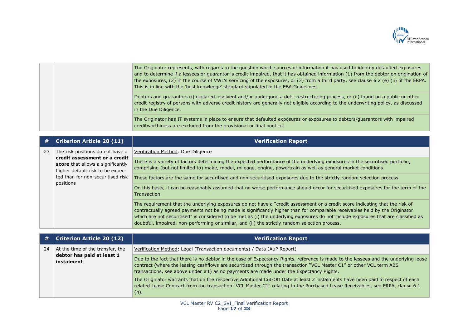

|  | The Originator represents, with regards to the question which sources of information it has used to identify defaulted exposures<br>and to determine if a lessees or quarantor is credit-impaired, that it has obtained information (1) from the debtor on origination of<br>the exposures, (2) in the course of VWL's servicing of the exposures, or (3) from a third party, see clause 6.2 (e) (ii) of the ERPA.<br>This is in line with the 'best knowledge' standard stipulated in the EBA Guidelines. |
|--|------------------------------------------------------------------------------------------------------------------------------------------------------------------------------------------------------------------------------------------------------------------------------------------------------------------------------------------------------------------------------------------------------------------------------------------------------------------------------------------------------------|
|  | Debtors and guarantors (i) declared insolvent and/or undergone a debt-restructuring process, or (ii) found on a public or other<br>credit registry of persons with adverse credit history are generally not eligible according to the underwriting policy, as discussed<br>in the Due Diligence.                                                                                                                                                                                                           |
|  | The Originator has IT systems in place to ensure that defaulted exposures or exposures to debtors/guarantors with impaired<br>creditworthiness are excluded from the provisional or final pool cut.                                                                                                                                                                                                                                                                                                        |

| #  | <b>Criterion Article 20 (11)</b>                                                                                                                                                             | Verification Report                                                                                                                                                                                                                                                                                                                                                                                                                                                                                 |
|----|----------------------------------------------------------------------------------------------------------------------------------------------------------------------------------------------|-----------------------------------------------------------------------------------------------------------------------------------------------------------------------------------------------------------------------------------------------------------------------------------------------------------------------------------------------------------------------------------------------------------------------------------------------------------------------------------------------------|
| 23 | The risk positions do not have a<br>credit assessment or a credit<br>score that allows a significantly<br>higher default risk to be expec-<br>ted than for non-securitised risk<br>positions | Verification Method: Due Diligence                                                                                                                                                                                                                                                                                                                                                                                                                                                                  |
|    |                                                                                                                                                                                              | There is a variety of factors determining the expected performance of the underlying exposures in the securitised portfolio,<br>comprising (but not limited to) make, model, mileage, engine, powertrain as well as general market conditions.                                                                                                                                                                                                                                                      |
|    |                                                                                                                                                                                              | These factors are the same for securitised and non-securitised exposures due to the strictly random selection process.                                                                                                                                                                                                                                                                                                                                                                              |
|    |                                                                                                                                                                                              | On this basis, it can be reasonably assumed that no worse performance should occur for securitised exposures for the term of the<br>Transaction.                                                                                                                                                                                                                                                                                                                                                    |
|    |                                                                                                                                                                                              | The requirement that the underlying exposures do not have a "credit assessment or a credit score indicating that the risk of<br>contractually agreed payments not being made is significantly higher than for comparable receivables held by the Originator<br>which are not securitised" is considered to be met as (i) the underlying exposures do not include exposures that are classified as<br>doubtful, impaired, non-performing or similar, and (ii) the strictly random selection process. |

| #  | Criterion Article 20 (12)                                                    | <b>Verification Report</b>                                                                                                                                                                                                                                                                                                                           |
|----|------------------------------------------------------------------------------|------------------------------------------------------------------------------------------------------------------------------------------------------------------------------------------------------------------------------------------------------------------------------------------------------------------------------------------------------|
| 24 | At the time of the transfer, the<br>debtor has paid at least 1<br>instalment | Verification Method: Legal (Transaction documents) / Data (AuP Report)                                                                                                                                                                                                                                                                               |
|    |                                                                              | Due to the fact that there is no debtor in the case of Expectancy Rights, reference is made to the lessees and the underlying lease<br>contract (where the leasing cashflows are securitised through the transaction "VCL Master C1" or other VCL term ABS<br>transactions, see above under #1) as no payments are made under the Expectancy Rights. |
|    |                                                                              | The Originator warrants that on the respective Additional Cut-Off Date at least 2 instalments have been paid in respect of each<br>related Lease Contract from the transaction "VCL Master C1" relating to the Purchased Lease Receivables, see ERPA, clause 6.1<br>(n).                                                                             |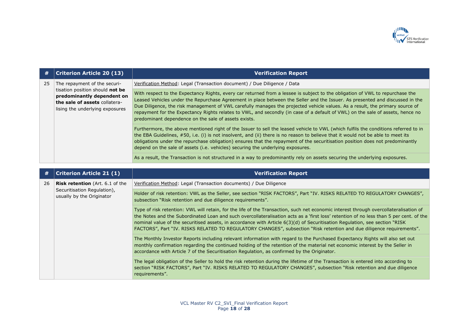

| #  | <b>Criterion Article 20 (13)</b>                                                                                                                                  | <b>Verification Report</b>                                                                                                                                                                                                                                                                                                                                                                                                                                                                                                                                                                                                |
|----|-------------------------------------------------------------------------------------------------------------------------------------------------------------------|---------------------------------------------------------------------------------------------------------------------------------------------------------------------------------------------------------------------------------------------------------------------------------------------------------------------------------------------------------------------------------------------------------------------------------------------------------------------------------------------------------------------------------------------------------------------------------------------------------------------------|
| 25 | The repayment of the securi-<br>tisation position should not be<br>predominantly dependent on<br>the sale of assets collatera-<br>lising the underlying exposures | Verification Method: Legal (Transaction document) / Due Diligence / Data                                                                                                                                                                                                                                                                                                                                                                                                                                                                                                                                                  |
|    |                                                                                                                                                                   | With respect to the Expectancy Rights, every car returned from a lessee is subject to the obligation of VWL to repurchase the<br>Leased Vehicles under the Repurchase Agreement in place between the Seller and the Issuer. As presented and discussed in the<br>Due Diligence, the risk management of VWL carefully manages the projected vehicle values. As a result, the primary source of<br>repayment for the Expectancy Rights relates to VWL, and secondly (in case of a default of VWL) on the sale of assets, hence no<br>predominant dependence on the sale of assets exists.                                   |
|    |                                                                                                                                                                   | Furthermore, the above mentioned right of the Issuer to sell the leased vehicle to VWL (which fulfils the conditions referred to in<br>the EBA Guidelines, #50, i.e. (i) is not insolvent, and (ii) there is no reason to believe that it would not be able to meet its<br>obligations under the repurchase obligation) ensures that the repayment of the securitisation position does not predominantly<br>depend on the sale of assets (i.e. vehicles) securing the underlying exposures.<br>As a result, the Transaction is not structured in a way to predominantly rely on assets securing the underlying exposures. |

| #  | <b>Criterion Article 21 (1)</b>                          | <b>Verification Report</b>                                                                                                                                                                                                                                                                                                                                                                                                                                                                                                              |
|----|----------------------------------------------------------|-----------------------------------------------------------------------------------------------------------------------------------------------------------------------------------------------------------------------------------------------------------------------------------------------------------------------------------------------------------------------------------------------------------------------------------------------------------------------------------------------------------------------------------------|
| 26 | <b>Risk retention</b> (Art. 6.1 of the                   | Verification Method: Legal (Transaction documents) / Due Diligence                                                                                                                                                                                                                                                                                                                                                                                                                                                                      |
|    | Securitisation Regulation),<br>usually by the Originator | Holder of risk retention: VWL as the Seller, see section "RISK FACTORS", Part "IV. RISKS RELATED TO REGULATORY CHANGES",<br>subsection "Risk retention and due diligence requirements".                                                                                                                                                                                                                                                                                                                                                 |
|    |                                                          | Type of risk retention: VWL will retain, for the life of the Transaction, such net economic interest through overcollateralisation of<br>the Notes and the Subordinated Loan and such overcollateralisation acts as a 'first loss' retention of no less than 5 per cent. of the<br>nominal value of the securitised assets, in accordance with Article 6(3)(d) of Securitisation Regulation, see section "RISK<br>FACTORS", Part "IV. RISKS RELATED TO REGULATORY CHANGES", subsection "Risk retention and due diligence requirements". |
|    |                                                          | The Monthly Investor Reports including relevant information with regard to the Purchased Expectancy Rights will also set out<br>monthly confirmation regarding the continued holding of the retention of the material net economic interest by the Seller in<br>accordance with Article 7 of the Securitisation Regulation, as confirmed by the Originator.                                                                                                                                                                             |
|    |                                                          | The legal obligation of the Seller to hold the risk retention during the lifetime of the Transaction is entered into according to<br>section "RISK FACTORS", Part "IV. RISKS RELATED TO REGULATORY CHANGES", subsection "Risk retention and due diligence<br>requirements".                                                                                                                                                                                                                                                             |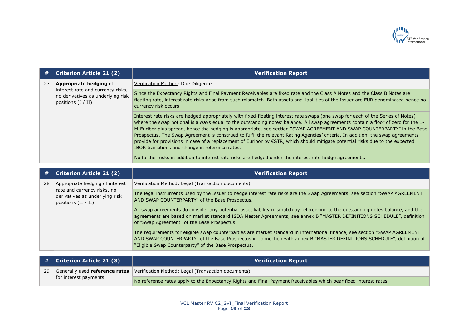

| #  | <b>Criterion Article 21 (2)</b>                                                                                                 | <b>Verification Report</b>                                                                                                                                                                                                                                                                                                                                                                                                                                                                                                                                                                                                                                                                                            |
|----|---------------------------------------------------------------------------------------------------------------------------------|-----------------------------------------------------------------------------------------------------------------------------------------------------------------------------------------------------------------------------------------------------------------------------------------------------------------------------------------------------------------------------------------------------------------------------------------------------------------------------------------------------------------------------------------------------------------------------------------------------------------------------------------------------------------------------------------------------------------------|
| 27 | <b>Appropriate hedging of</b><br>interest rate and currency risks,<br>no derivatives as underlying risk<br>positions $(I / II)$ | Verification Method: Due Diligence                                                                                                                                                                                                                                                                                                                                                                                                                                                                                                                                                                                                                                                                                    |
|    |                                                                                                                                 | Since the Expectancy Rights and Final Payment Receivables are fixed rate and the Class A Notes and the Class B Notes are<br>floating rate, interest rate risks arise from such mismatch. Both assets and liabilities of the Issuer are EUR denominated hence no<br>currency risk occurs.                                                                                                                                                                                                                                                                                                                                                                                                                              |
|    |                                                                                                                                 | Interest rate risks are hedged appropriately with fixed-floating interest rate swaps (one swap for each of the Series of Notes)<br>where the swap notional is always equal to the outstanding notes' balance. All swap agreements contain a floor of zero for the 1-<br>M-Euribor plus spread, hence the hedging is appropriate, see section "SWAP AGREEMENT AND SWAP COUNTERPARTY" in the Base<br>Prospectus. The Swap Agreement is construed to fulfil the relevant Rating Agencies' criteria. In addition, the swap agreements<br>provide for provisions in case of a replacement of Euribor by €STR, which should mitigate potential risks due to the expected<br>IBOR transitions and change in reference rates. |
|    |                                                                                                                                 | No further risks in addition to interest rate risks are hedged under the interest rate hedge agreements.                                                                                                                                                                                                                                                                                                                                                                                                                                                                                                                                                                                                              |

| #  | <b>Criterion Article 21 (2)</b>                                                                                           | <b>Verification Report</b>                                                                                                                                                                                                                                                                                   |
|----|---------------------------------------------------------------------------------------------------------------------------|--------------------------------------------------------------------------------------------------------------------------------------------------------------------------------------------------------------------------------------------------------------------------------------------------------------|
| 28 | Appropriate hedging of interest<br>rate and currency risks, no<br>derivatives as underlying risk<br>positions $(II / II)$ | Verification Method: Legal (Transaction documents)                                                                                                                                                                                                                                                           |
|    |                                                                                                                           | The legal instruments used by the Issuer to hedge interest rate risks are the Swap Agreements, see section "SWAP AGREEMENT<br>AND SWAP COUNTERPARTY" of the Base Prospectus.                                                                                                                                 |
|    |                                                                                                                           | All swap agreements do consider any potential asset liability mismatch by referencing to the outstanding notes balance, and the<br>agreements are based on market standard ISDA Master Agreements, see annex B "MASTER DEFINITIONS SCHEDULE", definition<br>of "Swap Agreement" of the Base Prospectus.      |
|    |                                                                                                                           | The requirements for eligible swap counterparties are market standard in international finance, see section "SWAP AGREEMENT<br>AND SWAP COUNTERPARTY" of the Base Prospectus in connection with annex B "MASTER DEFINITIONS SCHEDULE", definition of<br>"Eligible Swap Counterparty" of the Base Prospectus. |

|    | $\#$ $ $ Criterion Article 21 (3) | <b>Verification Report</b>                                                                                       |
|----|-----------------------------------|------------------------------------------------------------------------------------------------------------------|
| 29 | for interest payments             | Generally used <b>reference rates</b>   Verification Method: Legal (Transaction documents)                       |
|    |                                   | No reference rates apply to the Expectancy Rights and Final Payment Receivables which bear fixed interest rates. |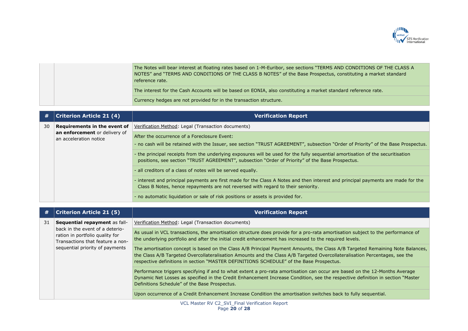

|  | The Notes will bear interest at floating rates based on 1-M-Euribor, see sections "TERMS AND CONDITIONS OF THE CLASS A<br>NOTES" and "TERMS AND CONDITIONS OF THE CLASS B NOTES" of the Base Prospectus, constituting a market standard<br>reference rate. |
|--|------------------------------------------------------------------------------------------------------------------------------------------------------------------------------------------------------------------------------------------------------------|
|  | The interest for the Cash Accounts will be based on EONIA, also constituting a market standard reference rate.                                                                                                                                             |
|  | Currency hedges are not provided for in the transaction structure.                                                                                                                                                                                         |

| #  | <b>Criterion Article 21 (4)</b>                                                         | <b>Verification Report</b>                                                                                                                                                                                                          |
|----|-----------------------------------------------------------------------------------------|-------------------------------------------------------------------------------------------------------------------------------------------------------------------------------------------------------------------------------------|
| 30 | Requirements in the event of<br>an enforcement or delivery of<br>an acceleration notice | Verification Method: Legal (Transaction documents)                                                                                                                                                                                  |
|    |                                                                                         | After the occurrence of a Foreclosure Event:<br>- no cash will be retained with the Issuer, see section "TRUST AGREEMENT", subsection "Order of Priority" of the Base Prospectus.                                                   |
|    |                                                                                         | - the principal receipts from the underlying exposures will be used for the fully sequential amortisation of the securitisation<br>positions, see section "TRUST AGREEMENT", subsection "Order of Priority" of the Base Prospectus. |
|    |                                                                                         | - all creditors of a class of notes will be served equally.                                                                                                                                                                         |
|    |                                                                                         | - interest and principal payments are first made for the Class A Notes and then interest and principal payments are made for the<br>Class B Notes, hence repayments are not reversed with regard to their seniority.                |
|    |                                                                                         | - no automatic liquidation or sale of risk positions or assets is provided for.                                                                                                                                                     |

| #  | <b>Criterion Article 21 (5)</b>                                                                                                                                            | <b>Verification Report</b>                                                                                                                                                                                                                                                                                                                             |
|----|----------------------------------------------------------------------------------------------------------------------------------------------------------------------------|--------------------------------------------------------------------------------------------------------------------------------------------------------------------------------------------------------------------------------------------------------------------------------------------------------------------------------------------------------|
| 31 | Sequential repayment as fall-<br>back in the event of a deterio-<br>ration in portfolio quality for<br>Transactions that feature a non-<br>sequential priority of payments | Verification Method: Legal (Transaction documents)                                                                                                                                                                                                                                                                                                     |
|    |                                                                                                                                                                            | As usual in VCL transactions, the amortisation structure does provide for a pro-rata amortisation subject to the performance of<br>the underlying portfolio and after the initial credit enhancement has increased to the required levels.                                                                                                             |
|    |                                                                                                                                                                            | The amortisation concept is based on the Class A/B Principal Payment Amounts, the Class A/B Targeted Remaining Note Balances,<br>the Class A/B Targeted Overcollateralisation Amounts and the Class A/B Targeted Overcollateralisation Percentages, see the<br>respective definitions in section "MASTER DEFINITIONS SCHEDULE" of the Base Prospectus. |
|    |                                                                                                                                                                            | Performance triggers specifying if and to what extent a pro-rata amortisation can occur are based on the 12-Months Average<br>Dynamic Net Losses as specified in the Credit Enhancement Increase Condition, see the respective definition in section "Master<br>Definitions Schedule" of the Base Prospectus.                                          |
|    |                                                                                                                                                                            | Upon occurrence of a Credit Enhancement Increase Condition the amortisation switches back to fully sequential.                                                                                                                                                                                                                                         |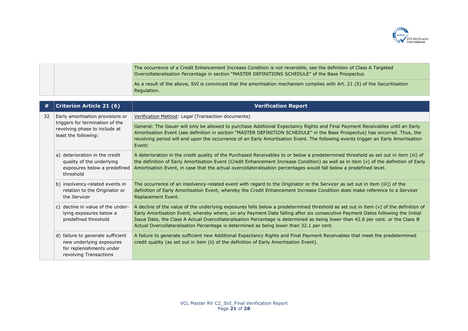

|  | The occurrence of a Credit Enhancement Increase Condition is not reversible, see the definition of Class A Targeted<br>Overcollateralisation Percentage in section "MASTER DEFINITIONS SCHEDULE" of the Base Prospectus. |
|--|--------------------------------------------------------------------------------------------------------------------------------------------------------------------------------------------------------------------------|
|  | As a result of the above, SVI is convinced that the amortisation mechanism complies with Art. 21 (5) of the Securitisation<br>Regulation.                                                                                |

| #  | <b>Criterion Article 21 (6)</b>                                                                                              | <b>Verification Report</b>                                                                                                                                                                                                                                                                                                                                                                                                                                                                            |
|----|------------------------------------------------------------------------------------------------------------------------------|-------------------------------------------------------------------------------------------------------------------------------------------------------------------------------------------------------------------------------------------------------------------------------------------------------------------------------------------------------------------------------------------------------------------------------------------------------------------------------------------------------|
| 32 | Early amortisation provisions or<br>triggers for termination of the<br>revolving phase to include at<br>least the following: | Verification Method: Legal (Transaction documents)                                                                                                                                                                                                                                                                                                                                                                                                                                                    |
|    |                                                                                                                              | General: The Issuer will only be allowed to purchase Additional Expectancy Rights and Final Payment Receivables until an Early<br>Amortisation Event (see definition in section "MASTER DEFINITION SCHEDULE" in the Base Prospectus) has occurred. Thus, the<br>revolving period will end upon the occurrence of an Early Amortisation Event. The following events trigger an Early Amortisation<br>Event:                                                                                            |
|    | a) deterioration in the credit<br>quality of the underlying<br>exposures below a predefined<br>threshold                     | A deterioration in the credit quality of the Purchased Receivables to or below a predetermined threshold as set out in item (iii) of<br>the definition of Early Amortisation Event (Credit Enhancement Increase Condition) as well as in item (v) of the definition of Early<br>Amortisation Event, in case that the actual overcollateralisation percentages would fall below a predefined level.                                                                                                    |
|    | b) insolvency-related events in<br>relation to the Originator or<br>the Servicer                                             | The occurrence of an insolvency-related event with regard to the Originator or the Servicer as set out in item (iii)) of the<br>definition of Early Amortisation Event, whereby the Credit Enhancement Increase Condition does make reference to a Servicer<br>Replacement Event.                                                                                                                                                                                                                     |
|    | c) decline in value of the under-<br>lying exposures below a<br>predefined threshold                                         | A decline of the value of the underlying exposures falls below a predetermined threshold as set out in item (v) of the definition of<br>Early Amortisation Event, whereby where, on any Payment Date falling after six consecutive Payment Dates following the Initial<br>Issue Date, the Class A Actual Overcollateralisation Percentage is determined as being lower than 42.6 per cent. or the Class B<br>Actual Overcollateralisation Percentage is determined as being lower than 32.1 per cent. |
|    | d) failure to generate sufficient<br>new underlying exposures<br>for replenishments under<br>revolving Transactions          | A failure to generate sufficient new Additional Expectancy Rights and Final Payment Receivables that meet the predetermined<br>credit quality (as set out in item (ii) of the definition of Early Amortisation Event).                                                                                                                                                                                                                                                                                |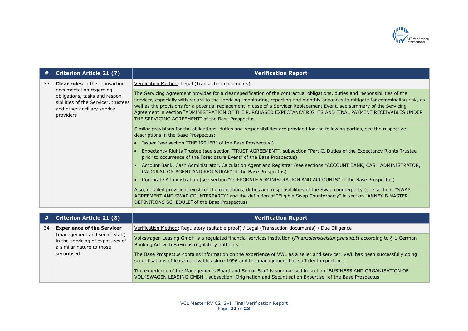

| #  | <b>Criterion Article 21 (7)</b>                                                                                                                                                        | <b>Verification Report</b>                                                                                                                                                                                                                                                                                                                                                                                                                                                                                                                                         |
|----|----------------------------------------------------------------------------------------------------------------------------------------------------------------------------------------|--------------------------------------------------------------------------------------------------------------------------------------------------------------------------------------------------------------------------------------------------------------------------------------------------------------------------------------------------------------------------------------------------------------------------------------------------------------------------------------------------------------------------------------------------------------------|
| 33 | <b>Clear rules</b> in the Transaction<br>documentation regarding<br>obligations, tasks and respon-<br>sibilities of the Servicer, trustees<br>and other ancillary service<br>providers | Verification Method: Legal (Transaction documents)                                                                                                                                                                                                                                                                                                                                                                                                                                                                                                                 |
|    |                                                                                                                                                                                        | The Servicing Agreement provides for a clear specification of the contractual obligations, duties and responsibilities of the<br>servicer, especially with regard to the servicing, monitoring, reporting and monthly advances to mitigate for commingling risk, as<br>well as the provisions for a potential replacement in case of a Servicer Replacement Event, see summary of the Servicing<br>Agreement in section "ADMINISTRATION OF THE PURCHASED EXPECTANCY RIGHTS AND FINAL PAYMENT RECEIVABLES UNDER<br>THE SERVICING AGREEMENT" of the Base Prospectus. |
|    |                                                                                                                                                                                        | Similar provisions for the obligations, duties and responsibilities are provided for the following parties, see the respective<br>descriptions in the Base Prospectus:                                                                                                                                                                                                                                                                                                                                                                                             |
|    |                                                                                                                                                                                        | • Issuer (see section "THE ISSUER" of the Base Prospectus.)                                                                                                                                                                                                                                                                                                                                                                                                                                                                                                        |
|    |                                                                                                                                                                                        | Expectancy Rights Trustee (see section "TRUST AGREEMENT", subsection "Part C. Duties of the Expectancy Rights Trustee<br>prior to occurrence of the Foreclosure Event" of the Base Prospectus)                                                                                                                                                                                                                                                                                                                                                                     |
|    |                                                                                                                                                                                        | • Account Bank, Cash Administrator, Calculation Agent and Registrar (see sections "ACCOUNT BANK, CASH ADMINISTRATOR,<br>CALCULATION AGENT AND REGISTRAR" of the Base Prospectus)                                                                                                                                                                                                                                                                                                                                                                                   |
|    |                                                                                                                                                                                        | Corporate Administration (see section "CORPORATE ADMINISTRATION AND ACCOUNTS" of the Base Prospectus)                                                                                                                                                                                                                                                                                                                                                                                                                                                              |
|    |                                                                                                                                                                                        | Also, detailed provisions exist for the obligations, duties and responsibilities of the Swap counterparty (see sections "SWAP<br>AGREEMENT AND SWAP COUNTERPARTY" and the definition of "Eligible Swap Counterparty" in section "ANNEX B MASTER<br>DEFINITIONS SCHEDULE" of the Base Prospectus)                                                                                                                                                                                                                                                                   |
|    |                                                                                                                                                                                        |                                                                                                                                                                                                                                                                                                                                                                                                                                                                                                                                                                    |
| #  | <b>Criterion Article 21 (8)</b>                                                                                                                                                        | <b>Verification Report</b>                                                                                                                                                                                                                                                                                                                                                                                                                                                                                                                                         |

| #  | <b>Criterion Article 21 (8)</b>                                                                                                                    | <b>Verification Report</b>                                                                                                                                                                                                   |
|----|----------------------------------------------------------------------------------------------------------------------------------------------------|------------------------------------------------------------------------------------------------------------------------------------------------------------------------------------------------------------------------------|
| 34 | <b>Experience of the Servicer</b><br>(management and senior staff)<br>in the servicing of exposures of<br>a similar nature to those<br>securitised | Verification Method: Regulatory (suitable proof) / Legal (Transaction documents) / Due Diligence                                                                                                                             |
|    |                                                                                                                                                    | Volkswagen Leasing GmbH is a regulated financial services institution (Finanzdienstleistungsinstitut) according to § 1 German<br>Banking Act with BaFin as regulatory authority.                                             |
|    |                                                                                                                                                    | The Base Prospectus contains information on the experience of VWL as a seller and servicer. VWL has been successfully doing<br>securitisations of lease receivables since 1996 and the management has sufficient experience. |
|    |                                                                                                                                                    | The experience of the Managements Board and Senior Staff is summarised in section "BUSINESS AND ORGANISATION OF<br>VOLKSWAGEN LEASING GMBH", subsection "Origination and Securitisation Expertise" of the Base Prospectus.   |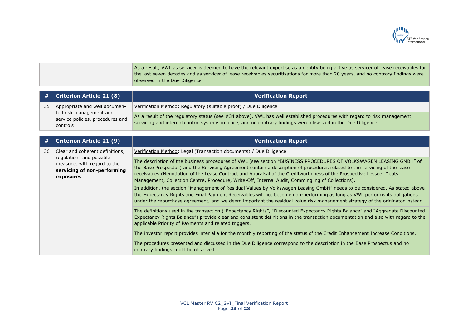

As a result, VWL as servicer is deemed to have the relevant expertise as an entity being active as servicer of lease receivables for the last seven decades and as servicer of lease receivables securitisations for more than 20 years, and no contrary findings were observed in the Due Diligence.

| #  | <b>Criterion Article 21 (8)</b>                                                                                                        | <b>Verification Report</b>                                                                                                                                                                                                                                                                                                                                                                                                                                                     |
|----|----------------------------------------------------------------------------------------------------------------------------------------|--------------------------------------------------------------------------------------------------------------------------------------------------------------------------------------------------------------------------------------------------------------------------------------------------------------------------------------------------------------------------------------------------------------------------------------------------------------------------------|
| 35 | Appropriate and well documen-<br>ted risk management and<br>service policies, procedures and<br>controls                               | Verification Method: Regulatory (suitable proof) / Due Diligence                                                                                                                                                                                                                                                                                                                                                                                                               |
|    |                                                                                                                                        | As a result of the regulatory status (see #34 above), VWL has well established procedures with regard to risk management,<br>servicing and internal control systems in place, and no contrary findings were observed in the Due Diligence.                                                                                                                                                                                                                                     |
|    |                                                                                                                                        |                                                                                                                                                                                                                                                                                                                                                                                                                                                                                |
| #  | <b>Criterion Article 21 (9)</b>                                                                                                        | <b>Verification Report</b>                                                                                                                                                                                                                                                                                                                                                                                                                                                     |
| 36 | Clear and coherent definitions,<br>regulations and possible<br>measures with regard to the<br>servicing of non-performing<br>exposures | Verification Method: Legal (Transaction documents) / Due Diligence                                                                                                                                                                                                                                                                                                                                                                                                             |
|    |                                                                                                                                        | The description of the business procedures of VWL (see section "BUSINESS PROCEDURES OF VOLKSWAGEN LEASING GMBH" of<br>the Base Prospectus) and the Servicing Agreement contain a description of procedures related to the servicing of the lease<br>receivables (Negotiation of the Lease Contract and Appraisal of the Creditworthiness of the Prospective Lessee, Debts<br>Management, Collection Centre, Procedure, Write-Off, Internal Audit, Commingling of Collections). |
|    |                                                                                                                                        | In addition, the section "Management of Residual Values by Volkswagen Leasing GmbH" needs to be considered. As stated above<br>the Expectancy Rights and Final Payment Receivables will not become non-performing as long as VWL performs its obligations<br>under the repurchase agreement, and we deem important the residual value risk management strategy of the originator instead.                                                                                      |
|    |                                                                                                                                        | The definitions used in the transaction ("Expectancy Rights", "Discounted Expectancy Rights Balance" and "Aggregate Discounted<br>Expectancy Rights Balance") provide clear and consistent definitions in the transaction documentation and also with regard to the<br>applicable Priority of Payments and related triggers.                                                                                                                                                   |
|    |                                                                                                                                        | The investor report provides inter alia for the monthly reporting of the status of the Credit Enhancement Increase Conditions.                                                                                                                                                                                                                                                                                                                                                 |
|    |                                                                                                                                        | The procedures presented and discussed in the Due Diligence correspond to the description in the Base Prospectus and no<br>contrary findings could be observed.                                                                                                                                                                                                                                                                                                                |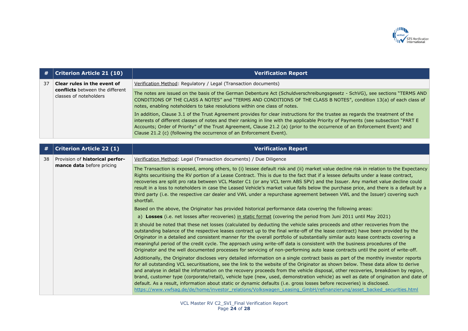

| <b>Criterion Article 21 (10)</b>                                                         | <b>Verification Report</b>                                                                                                                                                                                                                                                                                                                                                                                                                                                                                                                                                                                                                                                                      |
|------------------------------------------------------------------------------------------|-------------------------------------------------------------------------------------------------------------------------------------------------------------------------------------------------------------------------------------------------------------------------------------------------------------------------------------------------------------------------------------------------------------------------------------------------------------------------------------------------------------------------------------------------------------------------------------------------------------------------------------------------------------------------------------------------|
| Clear rules in the event of<br>conflicts between the different<br>classes of noteholders | Verification Method: Regulatory / Legal (Transaction documents)                                                                                                                                                                                                                                                                                                                                                                                                                                                                                                                                                                                                                                 |
|                                                                                          | The notes are issued on the basis of the German Debenture Act (Schuldverschreibungsgesetz - SchVG), see sections "TERMS AND<br>CONDITIONS OF THE CLASS A NOTES" and "TERMS AND CONDITIONS OF THE CLASS B NOTES", condition 13(a) of each class of<br>notes, enabling noteholders to take resolutions within one class of notes.                                                                                                                                                                                                                                                                                                                                                                 |
|                                                                                          | In addition, Clause 3.1 of the Trust Agreement provides for clear instructions for the trustee as regards the treatment of the<br>interests of different classes of notes and their ranking in line with the applicable Priority of Payments (see subsection "PART E<br>Accounts; Order of Priority" of the Trust Agreement, Clause 21.2 (a) (prior to the occurrence of an Enforcement Event) and<br>Clause 21.2 (c) (following the occurrence of an Enforcement Event).                                                                                                                                                                                                                       |
| <b>Criterion Article 22 (1)</b>                                                          | <b>Verification Report</b>                                                                                                                                                                                                                                                                                                                                                                                                                                                                                                                                                                                                                                                                      |
| Provision of historical perfor-<br>mance data before pricing                             | Verification Method: Legal (Transaction documents) / Due Diligence                                                                                                                                                                                                                                                                                                                                                                                                                                                                                                                                                                                                                              |
|                                                                                          | The Transaction is exposed, among others, to (i) lessee default risk and (ii) market value decline risk in relation to the Expectancy<br>Rights securitising the RV portion of a Lease Contract. This is due to the fact that if a lessee defaults under a lease contract,<br>recoveries are split pro rata between VCL Master C1 (or any VCL term ABS SPV) and the Issuer. Any market value decline could<br>result in a loss to noteholders in case the Leased Vehicle's market value falls below the purchase price, and there is a default by a<br>third party (i.e. the respective car dealer and VWL under a repurchase agreement between VWL and the Issuer) covering such<br>shortfall. |
|                                                                                          | Based on the above, the Originator has provided historical performance data covering the following areas:                                                                                                                                                                                                                                                                                                                                                                                                                                                                                                                                                                                       |
|                                                                                          | a) Losses (i.e. net losses after recoveries) in static format (covering the period from Juni 2011 until May 2021)                                                                                                                                                                                                                                                                                                                                                                                                                                                                                                                                                                               |
|                                                                                          | It should be noted that these net losses (calculated by deducting the vehicle sales proceeds and other recoveries from the<br>outstanding balance of the respective leases contract up to the final write-off of the lease contract) have been provided by the<br>Originator in a detailed and consistent manner for the overall portfolio of substantially similar auto lease contracts covering a<br>meaningful period of the credit cycle. The approach using write-off data is consistent with the business procedures of the<br>Originator and the well documented processes for servicing of non-performing auto lease contracts until the point of write-off.                            |
|                                                                                          | Additionally, the Originator discloses very detailed information on a single contract basis as part of the monthly investor reports<br>for all outstanding VCL securitisations, see the link to the website of the Originator as shown below. These data allow to derive                                                                                                                                                                                                                                                                                                                                                                                                                        |
|                                                                                          | and analyse in detail the information on the recovery proceeds from the vehicle disposal, other recoveries, breakdown by region,<br>brand, customer type (corporate/retail), vehicle type (new, used, demonstration vehicle) as well as date of origination and date of<br>default. As a result, information about static or dynamic defaults (i.e. gross losses before recoveries) is disclosed.<br>https://www.vwfsag.de/de/home/investor_relations/Volkswagen_Leasing_GmbH/refinanzierung/asset_backed_securities.html                                                                                                                                                                       |
|                                                                                          |                                                                                                                                                                                                                                                                                                                                                                                                                                                                                                                                                                                                                                                                                                 |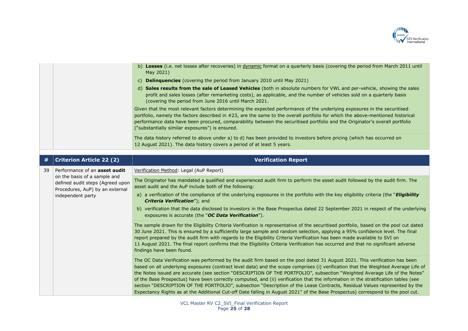

|    |                                                                                                                                                           | b) Losses (i.e. net losses after recoveries) in dynamic format on a quarterly basis (covering the period from March 2011 until<br>May 2021)                                                                                                                                                                                                                                                                                                                                                                                                                                                                                                                                                                                                                                                            |
|----|-----------------------------------------------------------------------------------------------------------------------------------------------------------|--------------------------------------------------------------------------------------------------------------------------------------------------------------------------------------------------------------------------------------------------------------------------------------------------------------------------------------------------------------------------------------------------------------------------------------------------------------------------------------------------------------------------------------------------------------------------------------------------------------------------------------------------------------------------------------------------------------------------------------------------------------------------------------------------------|
|    |                                                                                                                                                           | c) Delinquencies (covering the period from January 2010 until May 2021)                                                                                                                                                                                                                                                                                                                                                                                                                                                                                                                                                                                                                                                                                                                                |
|    |                                                                                                                                                           | d) Sales results from the sale of Leased Vehicles (both in absolute numbers for VWL and per-vehicle, showing the sales<br>profit and sales losses (after remarketing costs), as applicable, and the number of vehicles sold on a quarterly basis<br>(covering the period from June 2016 until March 2021.                                                                                                                                                                                                                                                                                                                                                                                                                                                                                              |
|    |                                                                                                                                                           | Given that the most relevant factors determining the expected performance of the underlying exposures in the securitised<br>portfolio, namely the factors described in #23, are the same to the overall portfolio for which the above-mentioned historical<br>performance data have been procured, comparability between the securitised portfolio and the Originator's overall portfolio<br>("substantially similar exposures") is ensured.                                                                                                                                                                                                                                                                                                                                                           |
|    |                                                                                                                                                           | The data history referred to above under a) to d) has been provided to investors before pricing (which has occurred on<br>12 August 2021). The data history covers a period of at least 5 years.                                                                                                                                                                                                                                                                                                                                                                                                                                                                                                                                                                                                       |
|    | <b>Criterion Article 22 (2)</b>                                                                                                                           | <b>Verification Report</b>                                                                                                                                                                                                                                                                                                                                                                                                                                                                                                                                                                                                                                                                                                                                                                             |
| 39 | Performance of an asset audit<br>on the basis of a sample and<br>defined audit steps (Agreed upon<br>Procedures, AuP) by an external<br>independent party | Verification Method: Legal (AuP Report)                                                                                                                                                                                                                                                                                                                                                                                                                                                                                                                                                                                                                                                                                                                                                                |
|    |                                                                                                                                                           | The Originator has mandated a qualified and experienced audit firm to perform the asset audit followed by the audit firm. The<br>asset audit and the AuP include both of the following:                                                                                                                                                                                                                                                                                                                                                                                                                                                                                                                                                                                                                |
|    |                                                                                                                                                           | a) a verification of the compliance of the underlying exposures in the portfolio with the key eligibility criteria (the "Eligibility<br>Criteria Verification"); and                                                                                                                                                                                                                                                                                                                                                                                                                                                                                                                                                                                                                                   |
|    |                                                                                                                                                           | b) verification that the data disclosed to investors in the Base Prospectus dated 22 September 2021 in respect of the underlying<br>exposures is accurate (the "OC Data Verification").                                                                                                                                                                                                                                                                                                                                                                                                                                                                                                                                                                                                                |
|    |                                                                                                                                                           | The sample drawn for the Eligibility Criteria Verification is representative of the securitised portfolio, based on the pool cut dated<br>30 June 2021. This is ensured by a sufficiently large sample and random selection, applying a 95% confidence level. The final<br>report prepared by the audit firm with regards to the Eligibility Criteria Verification has been made available to SVI on<br>11 August 2021. The final report confirms that the Eligibility Criteria Verification has occurred and that no significant adverse<br>findings have been found.                                                                                                                                                                                                                                 |
|    |                                                                                                                                                           | The OC Data Verification was performed by the audit firm based on the pool dated 31 August 2021. This verification has been<br>based on all underlying exposures (contract level data) and the scope comprises (i) verification that the Weighted Average Life of<br>the Notes issued are accurate (see section "DESCRIPTION OF THE PORTFOLIO", subsection "Weighted Average Life of the Notes"<br>of the Base Prospectus) have been correctly computed, and (ii) verification that the information in the stratification tables (see<br>section "DESCRIPTION OF THE PORTFOLIO", subsection "Description of the Lease Contracts, Residual Values represented by the<br>Expectancy Rights as at the Additional Cut-off Date falling in August 2021" of the Base Prospectus) correspond to the pool cut. |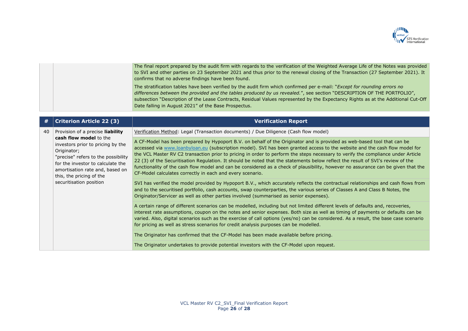

The final report prepared by the audit firm with regards to the verification of the Weighted Average Life of the Notes was provided to SVI and other parties on 23 September 2021 and thus prior to the renewal closing of the Transaction (27 September 2021). It confirms that no adverse findings have been found. The stratification tables have been verified by the audit firm which confirmed per e-mail: "*Except for rounding errors no differences between the provided and the tables produced by us revealed.*", see section "DESCRIPTION OF THE PORTFOLIO", subsection "Description of the Lease Contracts, Residual Values represented by the Expectancy Rights as at the Additional Cut-Off Date falling in August 2021" of the Base Prospectus.

| #  | <b>Criterion Article 22 (3)</b>                                                                                                                                                                                                                                                      | <b>Verification Report</b>                                                                                                                                                                                                                                                                                                                                                                                                                                                                                                                                                                                                                                                                                                      |
|----|--------------------------------------------------------------------------------------------------------------------------------------------------------------------------------------------------------------------------------------------------------------------------------------|---------------------------------------------------------------------------------------------------------------------------------------------------------------------------------------------------------------------------------------------------------------------------------------------------------------------------------------------------------------------------------------------------------------------------------------------------------------------------------------------------------------------------------------------------------------------------------------------------------------------------------------------------------------------------------------------------------------------------------|
| 40 | Provision of a precise liability<br>cash flow model to the<br>investors prior to pricing by the<br>Originator;<br>"precise" refers to the possibility<br>for the investor to calculate the<br>amortisation rate and, based on<br>this, the pricing of the<br>securitisation position | Verification Method: Legal (Transaction documents) / Due Diligence (Cash flow model)                                                                                                                                                                                                                                                                                                                                                                                                                                                                                                                                                                                                                                            |
|    |                                                                                                                                                                                                                                                                                      | A CF-Model has been prepared by Hypoport B.V. on behalf of the Originator and is provided as web-based tool that can be<br>accessed via www.loanbyloan.eu (subscription model). SVI has been granted access to the website and the cash flow model for<br>the VCL Master RV C2 transaction prior to pricing in order to perform the steps necessary to verify the compliance under Article<br>22 (3) of the Securitisation Regulation. It should be noted that the statements below reflect the result of SVI's review of the<br>functionality of the cash flow model and can be considered as a check of plausibility, however no assurance can be given that the<br>CF-Model calculates correctly in each and every scenario. |
|    |                                                                                                                                                                                                                                                                                      | SVI has verified the model provided by Hypoport B.V., which accurately reflects the contractual relationships and cash flows from<br>and to the securitised portfolio, cash accounts, swap counterparties, the various series of Classes A and Class B Notes, the<br>Originator/Servicer as well as other parties involved (summarised as senior expenses).                                                                                                                                                                                                                                                                                                                                                                     |
|    |                                                                                                                                                                                                                                                                                      | A certain range of different scenarios can be modelled, including but not limited different levels of defaults and, recoveries,<br>interest rate assumptions, coupon on the notes and senior expenses. Both size as well as timing of payments or defaults can be<br>varied. Also, digital scenarios such as the exercise of call options (yes/no) can be considered. As a result, the base case scenario<br>for pricing as well as stress scenarios for credit analysis purposes can be modelled.                                                                                                                                                                                                                              |
|    |                                                                                                                                                                                                                                                                                      | The Originator has confirmed that the CF-Model has been made available before pricing.                                                                                                                                                                                                                                                                                                                                                                                                                                                                                                                                                                                                                                          |
|    |                                                                                                                                                                                                                                                                                      | The Originator undertakes to provide potential investors with the CF-Model upon request.                                                                                                                                                                                                                                                                                                                                                                                                                                                                                                                                                                                                                                        |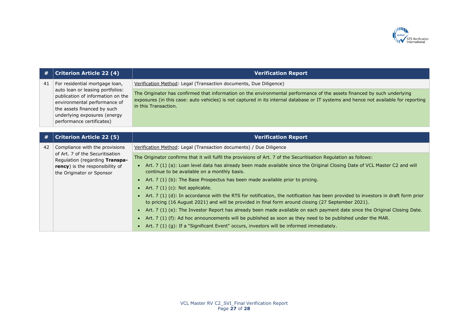

| #  | <b>Criterion Article 22 (4)</b>                                                                                                                                                                                                     | <b>Verification Report</b>                                                                                                                                                                                                                                                               |
|----|-------------------------------------------------------------------------------------------------------------------------------------------------------------------------------------------------------------------------------------|------------------------------------------------------------------------------------------------------------------------------------------------------------------------------------------------------------------------------------------------------------------------------------------|
| 41 | For residential mortgage loan,<br>auto loan or leasing portfolios:<br>publication of information on the<br>environmental performance of<br>the assets financed by such<br>underlying exposures (energy<br>performance certificates) | Verification Method: Legal (Transaction documents, Due Diligence)                                                                                                                                                                                                                        |
|    |                                                                                                                                                                                                                                     | The Originator has confirmed that information on the environmental performance of the assets financed by such underlying<br>exposures (in this case: auto vehicles) is not captured in its internal database or IT systems and hence not available for reporting<br>in this Transaction. |
|    |                                                                                                                                                                                                                                     |                                                                                                                                                                                                                                                                                          |
| #  | <b>Criterion Article 22 (5)</b>                                                                                                                                                                                                     | <b>Verification Report</b>                                                                                                                                                                                                                                                               |
| 42 | Compliance with the provisions<br>of Art. 7 of the Securitisation<br>Regulation (regarding Transpa-<br>rency) is the responsibility of<br>the Originator or Sponsor                                                                 | Verification Method: Legal (Transaction documents) / Due Diligence                                                                                                                                                                                                                       |
|    |                                                                                                                                                                                                                                     | The Originator confirms that it will fulfil the provisions of Art. 7 of the Securitisation Regulation as follows:                                                                                                                                                                        |
|    |                                                                                                                                                                                                                                     | • Art. 7 (1) (a): Loan level data has already been made available since the Original Closing Date of VCL Master C2 and will<br>continue to be available on a monthly basis.                                                                                                              |
|    |                                                                                                                                                                                                                                     | • Art. 7 (1) (b): The Base Prospectus has been made available prior to pricing.                                                                                                                                                                                                          |
|    |                                                                                                                                                                                                                                     | • Art. $7(1)(c)$ : Not applicable.                                                                                                                                                                                                                                                       |
|    |                                                                                                                                                                                                                                     | Art. 7 (1) (d): In accordance with the RTS for notification, the notification has been provided to investors in draft form prior<br>$\bullet$<br>to pricing (16 August 2021) and will be provided in final form around closing (27 September 2021).                                      |
|    |                                                                                                                                                                                                                                     | • Art. 7 (1) (e): The Investor Report has already been made available on each payment date since the Original Closing Date.                                                                                                                                                              |
|    |                                                                                                                                                                                                                                     | • Art. 7 (1) (f): Ad hoc announcements will be published as soon as they need to be published under the MAR.                                                                                                                                                                             |
|    |                                                                                                                                                                                                                                     | • Art. 7 (1) (g): If a "Significant Event" occurs, investors will be informed immediately.                                                                                                                                                                                               |